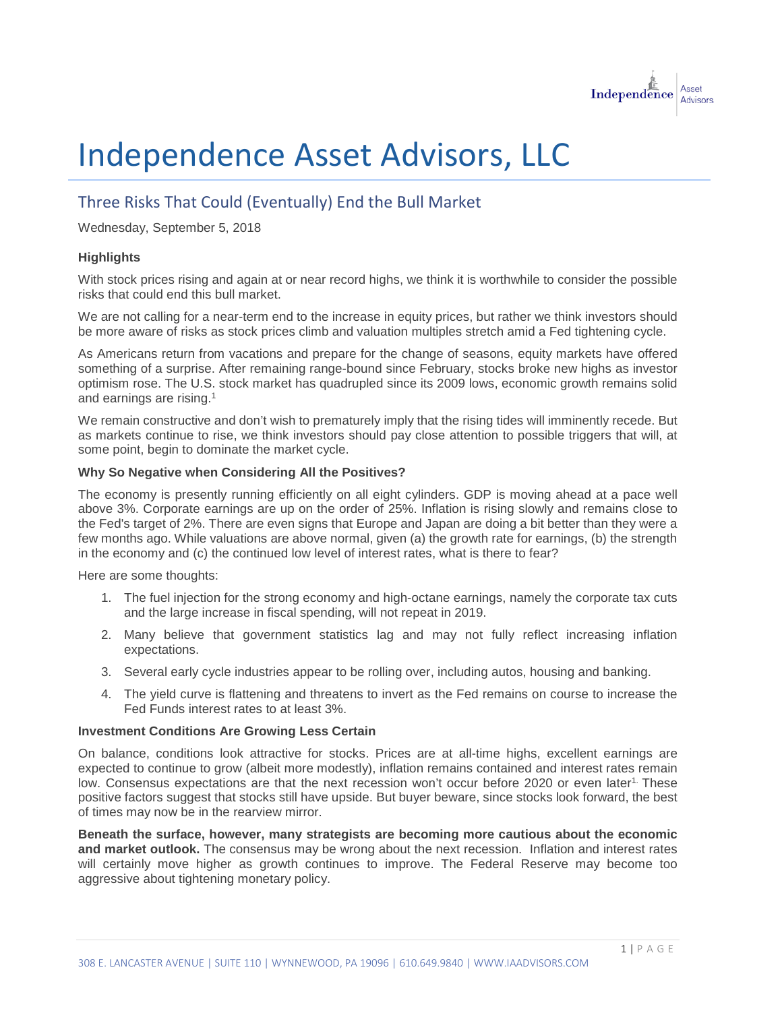

# Independence Asset Advisors, LLC

# Three Risks That Could (Eventually) End the Bull Market

Wednesday, September 5, 2018

### **Highlights**

With stock prices rising and again at or near record highs, we think it is worthwhile to consider the possible risks that could end this bull market.

We are not calling for a near-term end to the increase in equity prices, but rather we think investors should be more aware of risks as stock prices climb and valuation multiples stretch amid a Fed tightening cycle.

As Americans return from vacations and prepare for the change of seasons, equity markets have offered something of a surprise. After remaining range-bound since February, stocks broke new highs as investor optimism rose. The U.S. stock market has quadrupled since its 2009 lows, economic growth remains solid and earnings are rising.1

We remain constructive and don't wish to prematurely imply that the rising tides will imminently recede. But as markets continue to rise, we think investors should pay close attention to possible triggers that will, at some point, begin to dominate the market cycle.

#### **Why So Negative when Considering All the Positives?**

The economy is presently running efficiently on all eight cylinders. GDP is moving ahead at a pace well above 3%. Corporate earnings are up on the order of 25%. Inflation is rising slowly and remains close to the Fed's target of 2%. There are even signs that Europe and Japan are doing a bit better than they were a few months ago. While valuations are above normal, given (a) the growth rate for earnings, (b) the strength in the economy and (c) the continued low level of interest rates, what is there to fear?

Here are some thoughts:

- 1. The fuel injection for the strong economy and high-octane earnings, namely the corporate tax cuts and the large increase in fiscal spending, will not repeat in 2019.
- 2. Many believe that government statistics lag and may not fully reflect increasing inflation expectations.
- 3. Several early cycle industries appear to be rolling over, including autos, housing and banking.
- 4. The yield curve is flattening and threatens to invert as the Fed remains on course to increase the Fed Funds interest rates to at least 3%.

### **Investment Conditions Are Growing Less Certain**

On balance, conditions look attractive for stocks. Prices are at all-time highs, excellent earnings are expected to continue to grow (albeit more modestly), inflation remains contained and interest rates remain low. Consensus expectations are that the next recession won't occur before 2020 or even later<sup>1.</sup> These positive factors suggest that stocks still have upside. But buyer beware, since stocks look forward, the best of times may now be in the rearview mirror.

**Beneath the surface, however, many strategists are becoming more cautious about the economic and market outlook.** The consensus may be wrong about the next recession. Inflation and interest rates will certainly move higher as growth continues to improve. The Federal Reserve may become too aggressive about tightening monetary policy.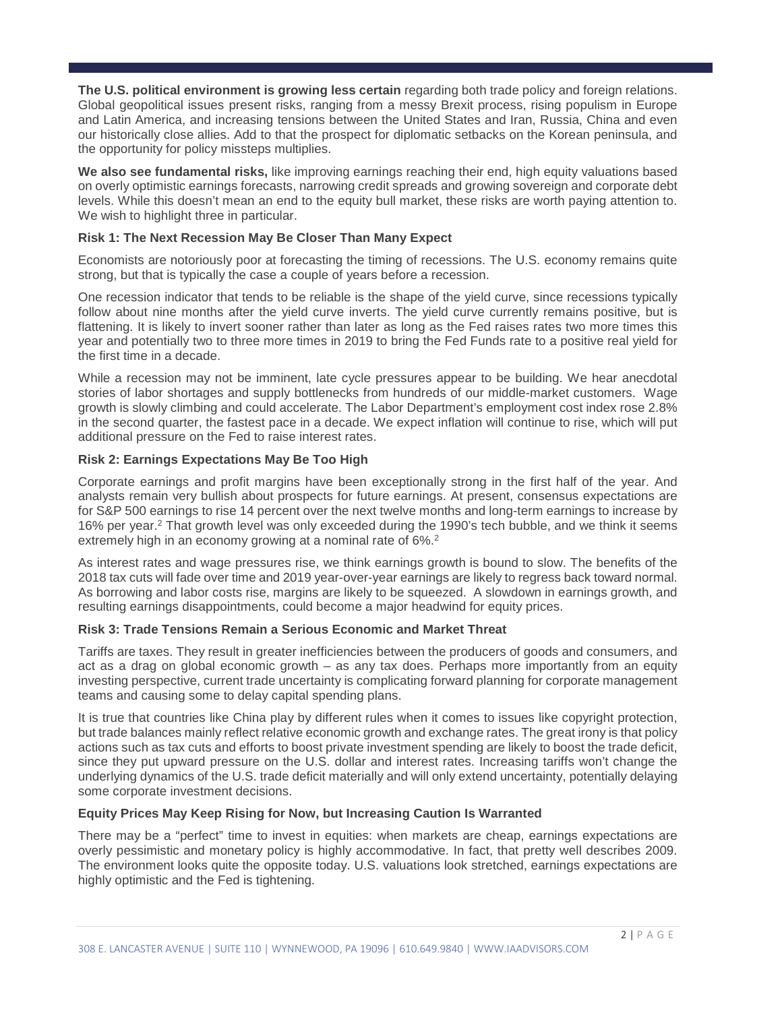**The U.S. political environment is growing less certain** regarding both trade policy and foreign relations. Global geopolitical issues present risks, ranging from a messy Brexit process, rising populism in Europe and Latin America, and increasing tensions between the United States and Iran, Russia, China and even our historically close allies. Add to that the prospect for diplomatic setbacks on the Korean peninsula, and the opportunity for policy missteps multiplies.

We also see fundamental risks, like improving earnings reaching their end, high equity valuations based on overly optimistic earnings forecasts, narrowing credit spreads and growing sovereign and corporate debt levels. While this doesn't mean an end to the equity bull market, these risks are worth paying attention to. We wish to highlight three in particular.

# **Risk 1: The Next Recession May Be Closer Than Many Expect**

Economists are notoriously poor at forecasting the timing of recessions. The U.S. economy remains quite strong, but that is typically the case a couple of years before a recession.

One recession indicator that tends to be reliable is the shape of the yield curve, since recessions typically follow about nine months after the yield curve inverts. The yield curve currently remains positive, but is flattening. It is likely to invert sooner rather than later as long as the Fed raises rates two more times this year and potentially two to three more times in 2019 to bring the Fed Funds rate to a positive real yield for the first time in a decade.

While a recession may not be imminent, late cycle pressures appear to be building. We hear anecdotal stories of labor shortages and supply bottlenecks from hundreds of our middle-market customers. Wage growth is slowly climbing and could accelerate. The Labor Department's employment cost index rose 2.8% in the second quarter, the fastest pace in a decade. We expect inflation will continue to rise, which will put additional pressure on the Fed to raise interest rates.

# **Risk 2: Earnings Expectations May Be Too High**

Corporate earnings and profit margins have been exceptionally strong in the first half of the year. And analysts remain very bullish about prospects for future earnings. At present, consensus expectations are for S&P 500 earnings to rise 14 percent over the next twelve months and long-term earnings to increase by 16% per year. <sup>2</sup> That growth level was only exceeded during the 1990's tech bubble, and we think it seems extremely high in an economy growing at a nominal rate of 6%.<sup>2</sup>

As interest rates and wage pressures rise, we think earnings growth is bound to slow. The benefits of the 2018 tax cuts will fade over time and 2019 year-over-year earnings are likely to regress back toward normal. As borrowing and labor costs rise, margins are likely to be squeezed. A slowdown in earnings growth, and resulting earnings disappointments, could become a major headwind for equity prices.

### **Risk 3: Trade Tensions Remain a Serious Economic and Market Threat**

Tariffs are taxes. They result in greater inefficiencies between the producers of goods and consumers, and act as a drag on global economic growth – as any tax does. Perhaps more importantly from an equity investing perspective, current trade uncertainty is complicating forward planning for corporate management teams and causing some to delay capital spending plans.

It is true that countries like China play by different rules when it comes to issues like copyright protection, but trade balances mainly reflect relative economic growth and exchange rates. The great irony is that policy actions such as tax cuts and efforts to boost private investment spending are likely to boost the trade deficit, since they put upward pressure on the U.S. dollar and interest rates. Increasing tariffs won't change the underlying dynamics of the U.S. trade deficit materially and will only extend uncertainty, potentially delaying some corporate investment decisions.

### **Equity Prices May Keep Rising for Now, but Increasing Caution Is Warranted**

There may be a "perfect" time to invest in equities: when markets are cheap, earnings expectations are overly pessimistic and monetary policy is highly accommodative. In fact, that pretty well describes 2009. The environment looks quite the opposite today. U.S. valuations look stretched, earnings expectations are highly optimistic and the Fed is tightening.